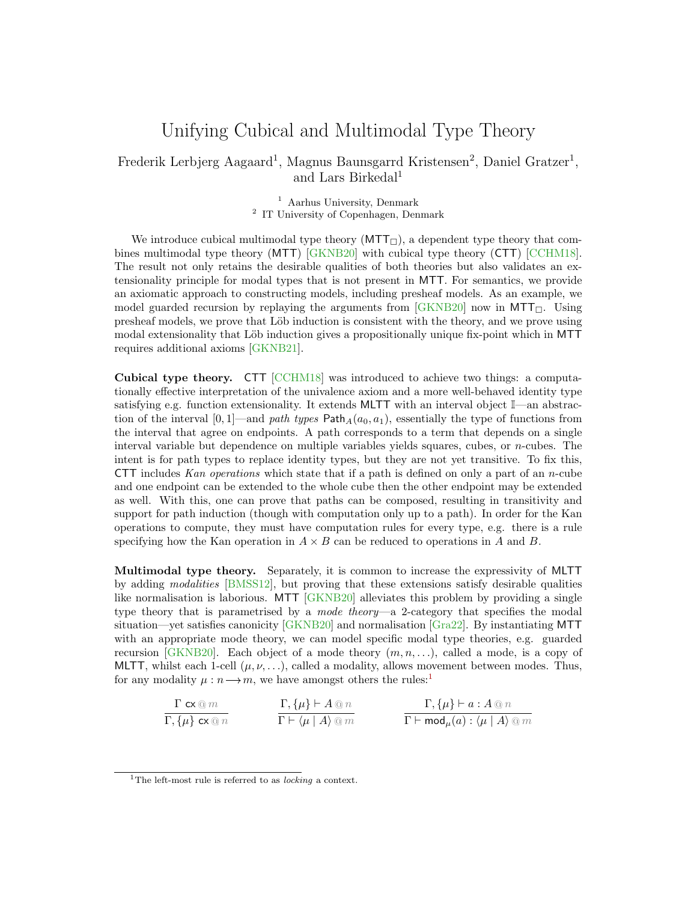## Unifying Cubical and Multimodal Type Theory

Frederik Lerbjerg Aagaard<sup>1</sup>, Magnus Baunsgarrd Kristensen<sup>2</sup>, Daniel Gratzer<sup>1</sup>, and Lars Birkedal<sup>1</sup>

> <sup>1</sup> Aarhus University, Denmark <sup>2</sup> IT University of Copenhagen, Denmark

We introduce cubical multimodal type theory  $(MTT_{\Box})$ , a dependent type theory that combines multimodal type theory (MTT) [\[GKNB20\]](#page-2-0) with cubical type theory (CTT) [\[CCHM18\]](#page-2-1). The result not only retains the desirable qualities of both theories but also validates an extensionality principle for modal types that is not present in MTT. For semantics, we provide an axiomatic approach to constructing models, including presheaf models. As an example, we model guarded recursion by replaying the arguments from  $[GKNB20]$  now in MTT $\Box$ . Using presheaf models, we prove that Löb induction is consistent with the theory, and we prove using modal extensionality that Löb induction gives a propositionally unique fix-point which in MTT requires additional axioms [\[GKNB21\]](#page-2-2).

Cubical type theory. CTT [\[CCHM18\]](#page-2-1) was introduced to achieve two things: a computationally effective interpretation of the univalence axiom and a more well-behaved identity type satisfying e.g. function extensionality. It extends MLTT with an interval object I—an abstraction of the interval  $[0, 1]$ —and path types Path<sub>A</sub>( $a_0, a_1$ ), essentially the type of functions from the interval that agree on endpoints. A path corresponds to a term that depends on a single interval variable but dependence on multiple variables yields squares, cubes, or  $n$ -cubes. The intent is for path types to replace identity types, but they are not yet transitive. To fix this, CTT includes Kan operations which state that if a path is defined on only a part of an  $n$ -cube and one endpoint can be extended to the whole cube then the other endpoint may be extended as well. With this, one can prove that paths can be composed, resulting in transitivity and support for path induction (though with computation only up to a path). In order for the Kan operations to compute, they must have computation rules for every type, e.g. there is a rule specifying how the Kan operation in  $A \times B$  can be reduced to operations in A and B.

Multimodal type theory. Separately, it is common to increase the expressivity of MLTT by adding modalities [\[BMSS12\]](#page-2-3), but proving that these extensions satisfy desirable qualities like normalisation is laborious. MTT [\[GKNB20\]](#page-2-0) alleviates this problem by providing a single type theory that is parametrised by a mode theory—a 2-category that specifies the modal situation—yet satisfies canonicity  $\left[\frac{\text{GKNB20}}{\text{GKNB20}}\right]$  and normalisation  $\left[\frac{\text{Gra22}}{\text{Gra22}}\right]$ . By instantiating MTT with an appropriate mode theory, we can model specific modal type theories, e.g. guarded recursion [\[GKNB20\]](#page-2-0). Each object of a mode theory  $(m, n, \ldots)$ , called a mode, is a copy of MLTT, whilst each 1-cell  $(\mu, \nu, \ldots)$ , called a modality, allows movement between modes. Thus, for any modality  $\mu : n \longrightarrow m$ , we have amongst others the rules:<sup>[1](#page-0-0)</sup>

$$
\frac{\Gamma \mathsf{c} \mathsf{x} \oslash m}{\Gamma, \{\mu\} \mathsf{c} \mathsf{x} \oslash n} \qquad \qquad \frac{\Gamma, \{\mu\} \vdash A \oslash n}{\Gamma \vdash \langle \mu \mid A \rangle \oslash m} \qquad \qquad \frac{\Gamma, \{\mu\} \vdash a : A \oslash n}{\Gamma \vdash \mathsf{mod}_{\mu}(a) : \langle \mu \mid A \rangle \oslash m}
$$

<span id="page-0-0"></span><sup>&</sup>lt;sup>1</sup>The left-most rule is referred to as *locking* a context.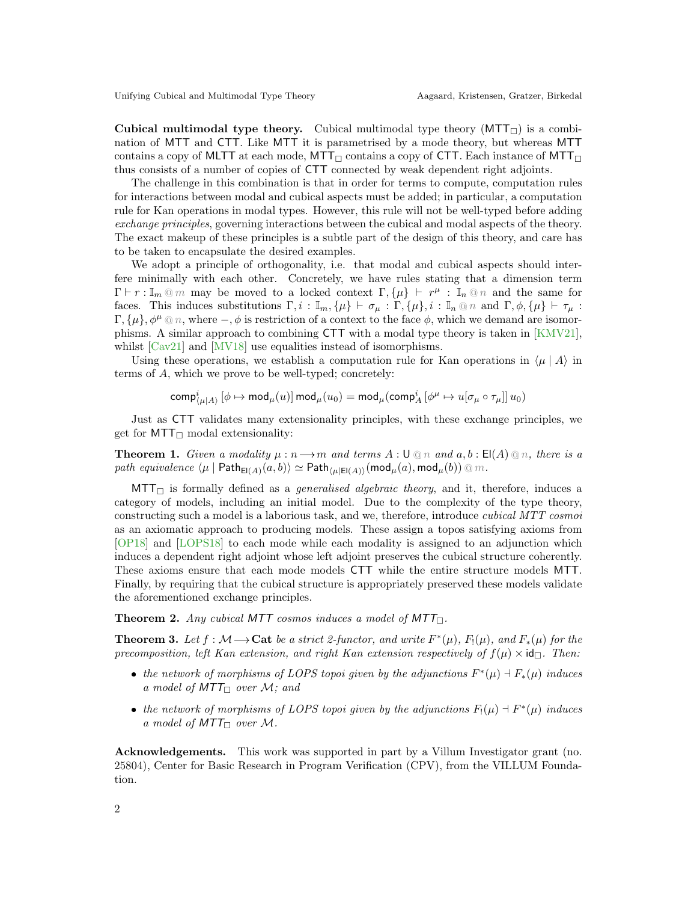Cubical multimodal type theory. Cubical multimodal type theory  $(MTT)$  is a combination of MTT and CTT. Like MTT it is parametrised by a mode theory, but whereas MTT contains a copy of MLTT at each mode, MTT $\Box$  contains a copy of CTT. Each instance of MTT $\Box$ thus consists of a number of copies of CTT connected by weak dependent right adjoints.

The challenge in this combination is that in order for terms to compute, computation rules for interactions between modal and cubical aspects must be added; in particular, a computation rule for Kan operations in modal types. However, this rule will not be well-typed before adding exchange principles, governing interactions between the cubical and modal aspects of the theory. The exact makeup of these principles is a subtle part of the design of this theory, and care has to be taken to encapsulate the desired examples.

We adopt a principle of orthogonality, i.e. that modal and cubical aspects should interfere minimally with each other. Concretely, we have rules stating that a dimension term  $\Gamma \vdash r : \mathbb{I}_m \otimes m$  may be moved to a locked context  $\Gamma, \{\mu\} \vdash r^{\mu} : \mathbb{I}_n \otimes n$  and the same for faces. This induces substitutions  $\Gamma, i : \mathbb{I}_m, {\mu} \vdash \sigma_\mu : \Gamma, {\mu}, i : \mathbb{I}_n \otimes n$  and  $\Gamma, \phi, {\mu} \vdash \tau_\mu :$  $\Gamma$ ,  $\{\mu\}$ ,  $\phi^{\mu} \t o n$ , where  $-\phi$ ,  $\phi$  is restriction of a context to the face  $\phi$ , which we demand are isomorphisms. A similar approach to combining CTT with a modal type theory is taken in [\[KMV21\]](#page-2-5), whilst [\[Cav21\]](#page-2-6) and [\[MV18\]](#page-2-7) use equalities instead of isomorphisms.

Using these operations, we establish a computation rule for Kan operations in  $\langle \mu | A \rangle$  in terms of A, which we prove to be well-typed; concretely:

 $\mathsf{comp}^i_{\langle \mu | A \rangle} \left[ \phi \mapsto \mathsf{mod}_{\mu}(u) \right] \mathsf{mod}_{\mu}(u_0) = \mathsf{mod}_{\mu}(\mathsf{comp}^i_A \left[ \phi^\mu \mapsto u[\sigma_\mu \circ \tau_\mu] \right] u_0)$ 

Just as CTT validates many extensionality principles, with these exchange principles, we get for  $MTT$ <sup> $\Box$ </sup> modal extensionality:

**Theorem 1.** Given a modality  $\mu : n \to m$  and terms  $A : \bigcup \mathbb{Q} \cap n$  and  $a, b : \mathsf{El}(A) \mathbb{Q} \cap n$ , there is a path equivalence  $\langle \mu |$  Path<sub>El(A)</sub> $(a, b) \rangle \simeq$  Path $_{\langle \mu | \mathsf{El}(A) \rangle}$ (mod $_{\mu}(a)$ , mod $_{\mu}(b)$ ) @ m.

 $MTT<sub>□</sub>$  is formally defined as a *generalised algebraic theory*, and it, therefore, induces a category of models, including an initial model. Due to the complexity of the type theory, constructing such a model is a laborious task, and we, therefore, introduce cubical MTT cosmoi as an axiomatic approach to producing models. These assign a topos satisfying axioms from [\[OP18\]](#page-2-8) and [\[LOPS18\]](#page-2-9) to each mode while each modality is assigned to an adjunction which induces a dependent right adjoint whose left adjoint preserves the cubical structure coherently. These axioms ensure that each mode models CTT while the entire structure models MTT. Finally, by requiring that the cubical structure is appropriately preserved these models validate the aforementioned exchange principles.

**Theorem 2.** Any cubical MTT cosmos induces a model of MTT $<sub>□</sub>$ .</sub>

**Theorem 3.** Let  $f : \mathcal{M} \longrightarrow$  Cat be a strict 2-functor, and write  $F^*(\mu)$ ,  $F_!(\mu)$ , and  $F_*(\mu)$  for the precomposition, left Kan extension, and right Kan extension respectively of  $f(\mu) \times id_{\square}$ . Then:

- the network of morphisms of LOPS topoi given by the adjunctions  $F^*(\mu) \dashv F_*(\mu)$  induces a model of  $MTT_{\Box}$  over M; and
- the network of morphisms of LOPS topoi given by the adjunctions  $F_1(\mu) \dashv F^*(\mu)$  induces a model of  $MTT_{\Box}$  over M.

Acknowledgements. This work was supported in part by a Villum Investigator grant (no. 25804), Center for Basic Research in Program Verification (CPV), from the VILLUM Foundation.